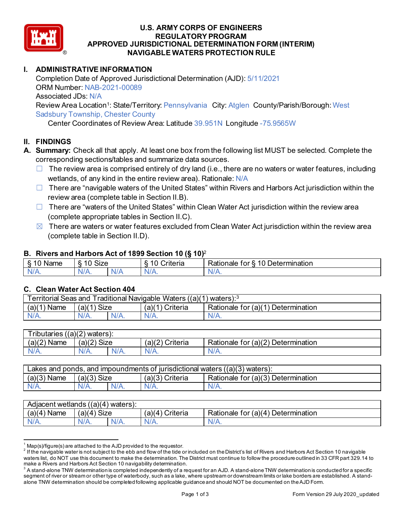

#### **U.S. ARMY CORPS OF ENGINEERS REGULATORY PROGRAM APPROVED JURISDICTIONAL DETERMINATION FORM (INTERIM) NAVIGABLE WATERS PROTECTION RULE**

# **I. ADMINISTRATIVE INFORMATION**

Completion Date of Approved Jurisdictional Determination (AJD): 5/11/2021 ORM Number: NAB-2021-00089 Associated JDs: N/A Review Area Location<sup>1</sup>: State/Territory: Pennsylvania City: Atglen County/Parish/Borough: West Sadsbury Township, Chester County

Center Coordinates of Review Area: Latitude 39.951N Longitude -75.9565W

# **II. FINDINGS**

- **A. Summary:** Check all that apply. At least one box from the following list MUST be selected. Complete the corresponding sections/tables and summarize data sources.
	- $\Box$  The review area is comprised entirely of dry land (i.e., there are no waters or water features, including wetlands, of any kind in the entire review area). Rationale: N/A
	- □ There are "navigable waters of the United States" within Rivers and Harbors Act jurisdiction within the review area (complete table in Section II.B).
	- $\Box$  There are "waters of the United States" within Clean Water Act jurisdiction within the review area (complete appropriate tables in Section II.C).
	- $\boxtimes$  There are waters or water features excluded from Clean Water Act jurisdiction within the review area (complete table in Section II.D).

## **B. Rivers and Harbors Act of 1899 Section 10 (§ 10)**<sup>2</sup>

| nno.<br>Name | $\sim$<br>-<br>SIZe |     | ` <sup>⊷</sup> teria | -<br>-<br>$\overline{ }$<br>Determination<br>Rationale<br>.or |
|--------------|---------------------|-----|----------------------|---------------------------------------------------------------|
| . .          | N/                  | NL. | .                    | N/A.                                                          |

## **C. Clean Water Act Section 404**

| <b>Territorial Seas and</b><br>Traditional Navigable Waters ((a)(1) waters): $3$ |                |         |                   |                                         |  |
|----------------------------------------------------------------------------------|----------------|---------|-------------------|-----------------------------------------|--|
| (a)(1)<br>Name                                                                   | Size<br>(a)(1) |         | Criteria<br>(a)(1 | Rationale for (a)(1) I<br>Determination |  |
| $N/A$ .                                                                          | $N/A$ .        | $N/A$ . | $N/A$ .           | $N/A$ .                                 |  |

| Tributaries<br>(a)(2)<br>waters): |               |         |                    |                                         |  |
|-----------------------------------|---------------|---------|--------------------|-----------------------------------------|--|
| (a)(2)<br>Name                    | $(a)(2)$ Size |         | (a)(2)<br>Criteria | Rationale for $(a)(2)$<br>Determination |  |
| N/A.                              | N/A.          | $N/A$ . | $N/A$ .            | $N/A$ .                                 |  |

| Lakes and ponds, and impoundments of jurisdictional waters $((a)(3)$ waters): |               |         |                    |                                    |  |
|-------------------------------------------------------------------------------|---------------|---------|--------------------|------------------------------------|--|
| (a)(3)<br><b>Name</b>                                                         | $(a)(3)$ Size |         | (a)(3)<br>Criteria | Rationale for (a)(3) Determination |  |
| N/A.                                                                          | $N/A$ .       | $N/A$ . | $N/A$ .            | N/A.                               |  |

| Adjacent wetlands<br>((a)(4))<br>\ waters). |                      |         |                    |                                    |  |
|---------------------------------------------|----------------------|---------|--------------------|------------------------------------|--|
| Name<br>(a)(4)                              | <b>Size</b><br>(a)(4 |         | Criteria<br>(a)(4) | Rationale for (a)(4) Determination |  |
| IV/A.                                       | $N/A$ .              | $N/A$ . | V/T                | $N/A$ .                            |  |

 $^1$  Map(s)/figure(s) are attached to the AJD provided to the requestor.<br><sup>2</sup> If the navigable water is not subject to the ebb and flow of the tide or included on the District's list of Rivers and Harbors Act Section 10 na waters list, do NOT use this document to make the determination. The District must continue to follow the procedure outlined in 33 CFR part 329.14 to make a Rivers and Harbors Act Section 10 navigability determination.

 $^{\rm 3}$  A stand-alone TNW determination is completed independently of a request for an AJD. A stand-alone TNW determination is conducted for a specific segment of river or stream or other type of waterbody, such as a lake, where upstream or downstream limits or lake borders are established. A standalone TNW determination should be completed following applicable guidance and should NOT be documented on the AJD Form.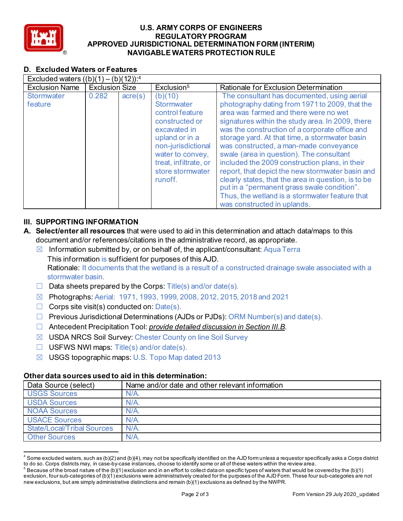

#### **U.S. ARMY CORPS OF ENGINEERS REGULATORY PROGRAM APPROVED JURISDICTIONAL DETERMINATION FORM (INTERIM) NAVIGABLE WATERS PROTECTION RULE**

# **D. Excluded Waters or Features**

| Excluded waters $((b)(1) - (b)(12))$ : <sup>4</sup> |                       |                  |                                                                                                                                                                                                       |                                                                                                                                                                                                                                                                                                                                                                                                                                                                                                                                                                                                                                                                                   |  |
|-----------------------------------------------------|-----------------------|------------------|-------------------------------------------------------------------------------------------------------------------------------------------------------------------------------------------------------|-----------------------------------------------------------------------------------------------------------------------------------------------------------------------------------------------------------------------------------------------------------------------------------------------------------------------------------------------------------------------------------------------------------------------------------------------------------------------------------------------------------------------------------------------------------------------------------------------------------------------------------------------------------------------------------|--|
| <b>Exclusion Name</b>                               | <b>Exclusion Size</b> |                  | Exclusion <sup>5</sup>                                                                                                                                                                                | Rationale for Exclusion Determination                                                                                                                                                                                                                                                                                                                                                                                                                                                                                                                                                                                                                                             |  |
| <b>Stormwater</b><br>feature                        | 0.282                 | $\text{acre}(s)$ | (b)(10)<br><b>Stormwater</b><br>control feature<br>constructed or<br>excavated in<br>upland or in a<br>non-jurisdictional<br>water to convey,<br>treat, infiltrate, or<br>store stormwater<br>runoff. | The consultant has documented, using aerial<br>photography dating from 1971 to 2009, that the<br>area was farmed and there were no wet<br>signatures within the study area. In 2009, there<br>was the construction of a corporate office and<br>storage yard. At that time, a stormwater basin<br>was constructed, a man-made conveyance<br>swale (area in question). The consultant<br>included the 2009 construction plans, in their<br>report, that depict the new stormwater basin and<br>clearly states, that the area in question, is to be<br>put in a "permanent grass swale condition".<br>Thus, the wetland is a stormwater feature that<br>was constructed in uplands. |  |

# **III. SUPPORTING INFORMATION**

- **A. Select/enter all resources** that were used to aid in this determination and attach data/maps to this document and/or references/citations in the administrative record, as appropriate.
	- $\boxtimes$  Information submitted by, or on behalf of, the applicant/consultant: Aqua Terra This information is sufficient for purposes of this AJD. Rationale: It documents that the wetland is a result of a constructed drainage swale associated with a stormwater basin.
	- $\Box$  Data sheets prepared by the Corps: Title(s) and/or date(s).
	- ☒ Photographs: Aerial: 1971, 1993, 1999, 2008, 2012, 2015, 2018 and 2021
	- $\Box$  Corps site visit(s) conducted on: Date(s).
	- $\Box$  Previous Jurisdictional Determinations (AJDs or PJDs): ORM Number(s) and date(s).
	- ☐ Antecedent Precipitation Tool: *provide detailed discussion in Section III.B*.
	- ☒ USDA NRCS Soil Survey: Chester County on line Soil Survey
	- $\Box$  USFWS NWI maps: Title(s) and/or date(s).
	- ☒ USGS topographic maps: U.S. Topo Map dated 2013

## **Other data sources used to aid in this determination:**

| Data Source (select)              | Name and/or date and other relevant information |
|-----------------------------------|-------------------------------------------------|
| <b>USGS Sources</b>               | $N/A$ .                                         |
| <b>USDA Sources</b>               | $N/A$ .                                         |
| <b>NOAA Sources</b>               | $N/A$ .                                         |
| <b>USACE Sources</b>              | $N/A$ .                                         |
| <b>State/Local/Tribal Sources</b> | $N/A$ .                                         |
| <b>Other Sources</b>              | $N/A$ .                                         |

 $4$  Some excluded waters, such as (b)(2) and (b)(4), may not be specifically identified on the AJD form unless a requestor specifically asks a Corps district to do so. Corps districts may, in case-by-case instances, choose to identify some or all of these waters within the review area.

 $^5$  Because of the broad nature of the (b)(1) exclusion and in an effort to collect data on specific types of waters that would be covered by the (b)(1) exclusion, four sub-categories of (b)(1) exclusions were administratively created for the purposes of the AJD Form. These four sub-categories are not new exclusions, but are simply administrative distinctions and remain (b)(1) exclusions as defined by the NWPR.